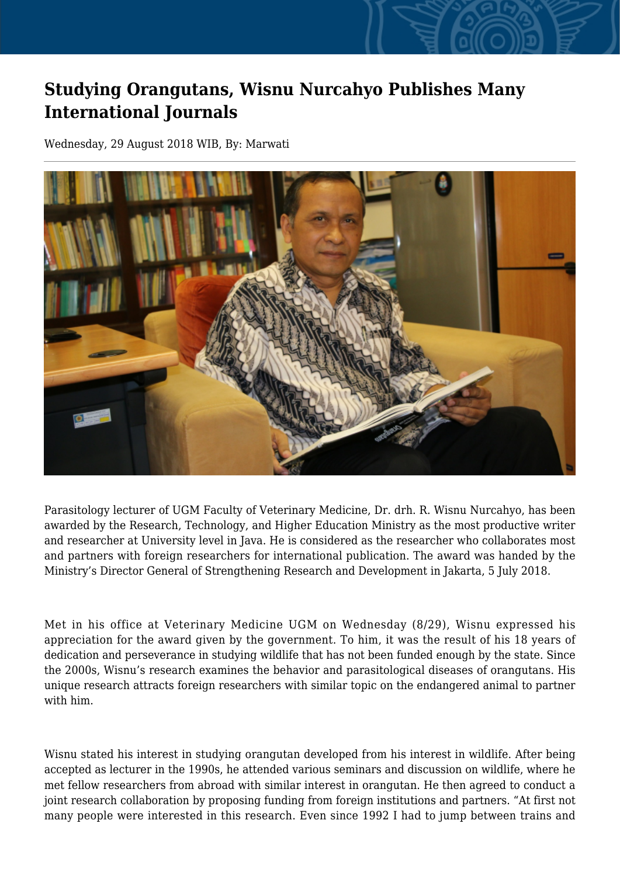## **Studying Orangutans, Wisnu Nurcahyo Publishes Many International Journals**

Wednesday, 29 August 2018 WIB, By: Marwati



Parasitology lecturer of UGM Faculty of Veterinary Medicine, Dr. drh. R. Wisnu Nurcahyo, has been awarded by the Research, Technology, and Higher Education Ministry as the most productive writer and researcher at University level in Java. He is considered as the researcher who collaborates most and partners with foreign researchers for international publication. The award was handed by the Ministry's Director General of Strengthening Research and Development in Jakarta, 5 July 2018.

Met in his office at Veterinary Medicine UGM on Wednesday (8/29), Wisnu expressed his appreciation for the award given by the government. To him, it was the result of his 18 years of dedication and perseverance in studying wildlife that has not been funded enough by the state. Since the 2000s, Wisnu's research examines the behavior and parasitological diseases of orangutans. His unique research attracts foreign researchers with similar topic on the endangered animal to partner with him.

Wisnu stated his interest in studying orangutan developed from his interest in wildlife. After being accepted as lecturer in the 1990s, he attended various seminars and discussion on wildlife, where he met fellow researchers from abroad with similar interest in orangutan. He then agreed to conduct a joint research collaboration by proposing funding from foreign institutions and partners. "At first not many people were interested in this research. Even since 1992 I had to jump between trains and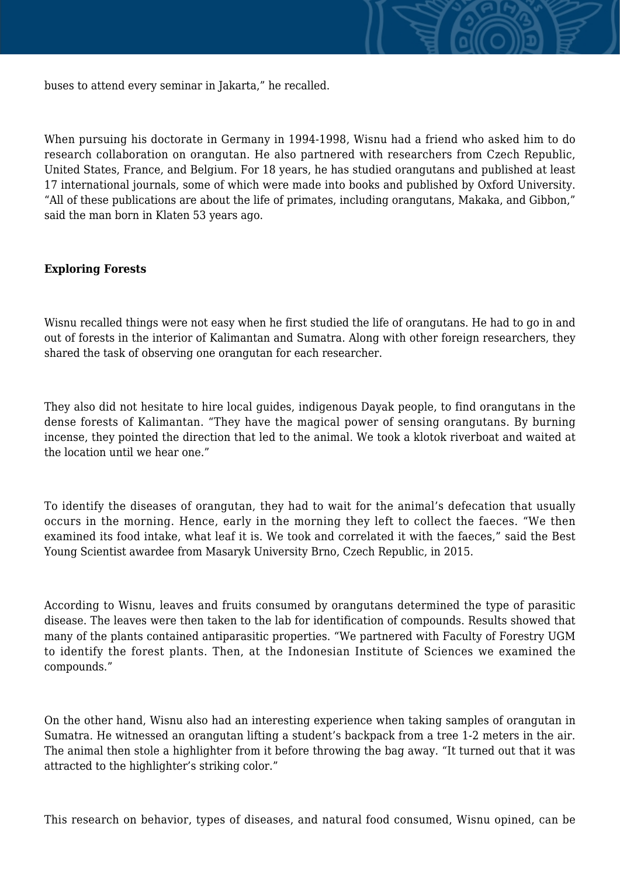

buses to attend every seminar in Jakarta," he recalled.

When pursuing his doctorate in Germany in 1994-1998, Wisnu had a friend who asked him to do research collaboration on orangutan. He also partnered with researchers from Czech Republic, United States, France, and Belgium. For 18 years, he has studied orangutans and published at least 17 international journals, some of which were made into books and published by Oxford University. "All of these publications are about the life of primates, including orangutans, Makaka, and Gibbon," said the man born in Klaten 53 years ago.

## **Exploring Forests**

Wisnu recalled things were not easy when he first studied the life of orangutans. He had to go in and out of forests in the interior of Kalimantan and Sumatra. Along with other foreign researchers, they shared the task of observing one orangutan for each researcher.

They also did not hesitate to hire local guides, indigenous Dayak people, to find orangutans in the dense forests of Kalimantan. "They have the magical power of sensing orangutans. By burning incense, they pointed the direction that led to the animal. We took a klotok riverboat and waited at the location until we hear one."

To identify the diseases of orangutan, they had to wait for the animal's defecation that usually occurs in the morning. Hence, early in the morning they left to collect the faeces. "We then examined its food intake, what leaf it is. We took and correlated it with the faeces," said the Best Young Scientist awardee from Masaryk University Brno, Czech Republic, in 2015.

According to Wisnu, leaves and fruits consumed by orangutans determined the type of parasitic disease. The leaves were then taken to the lab for identification of compounds. Results showed that many of the plants contained antiparasitic properties. "We partnered with Faculty of Forestry UGM to identify the forest plants. Then, at the Indonesian Institute of Sciences we examined the compounds."

On the other hand, Wisnu also had an interesting experience when taking samples of orangutan in Sumatra. He witnessed an orangutan lifting a student's backpack from a tree 1-2 meters in the air. The animal then stole a highlighter from it before throwing the bag away. "It turned out that it was attracted to the highlighter's striking color."

This research on behavior, types of diseases, and natural food consumed, Wisnu opined, can be